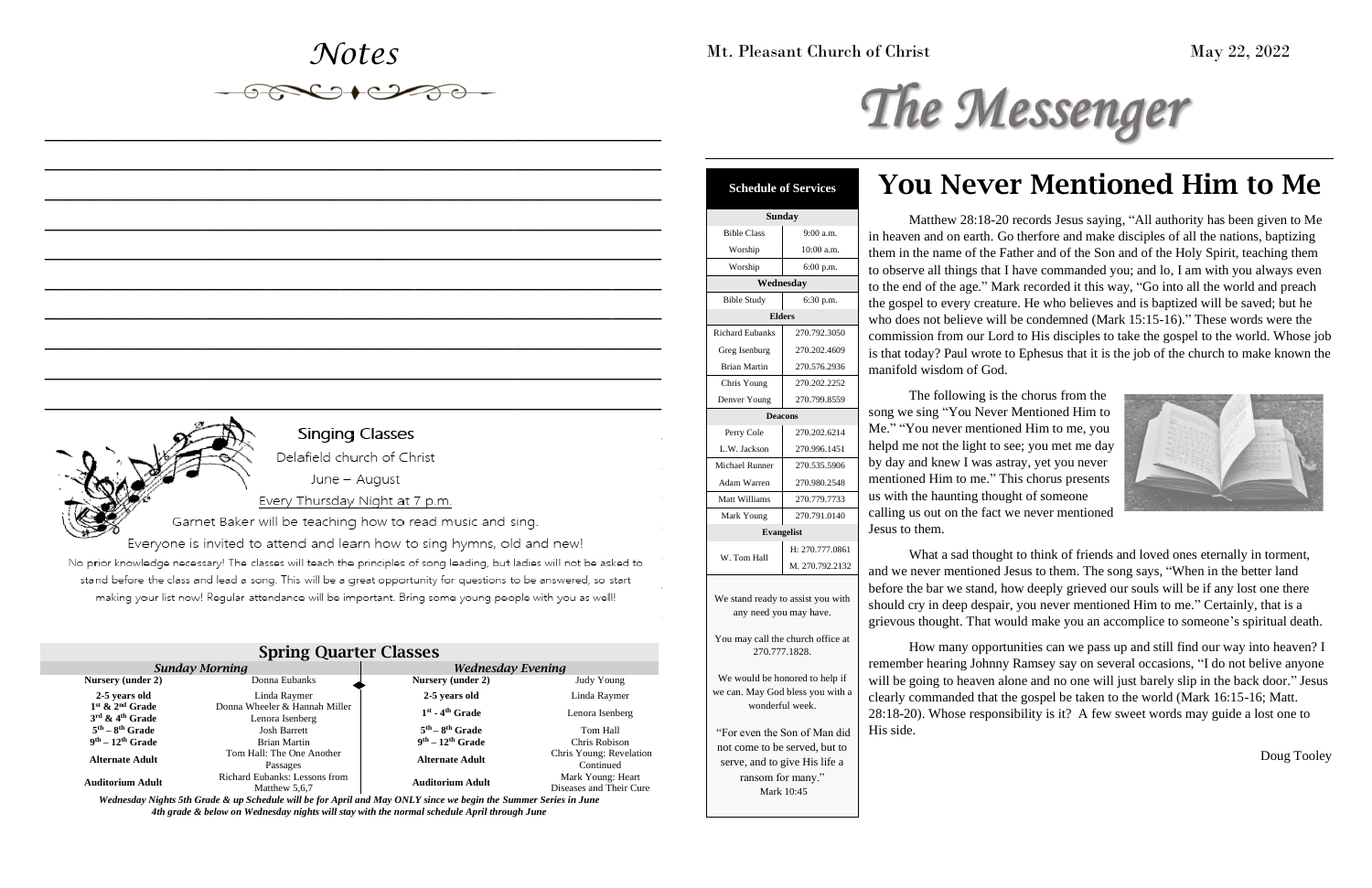## *Notes*

*\_\_\_\_\_\_\_\_\_\_\_\_\_\_\_\_\_\_\_\_\_\_\_\_\_\_\_\_\_\_\_\_\_\_\_\_\_\_\_\_\_\_\_\_\_\_\_\_\_\_*

 $\begin{picture}(120,10) \put(0,0){\line(1,0){150}} \put(15,0){\line(1,0){150}} \put(15,0){\line(1,0){150}} \put(15,0){\line(1,0){150}} \put(15,0){\line(1,0){150}} \put(15,0){\line(1,0){150}} \put(15,0){\line(1,0){150}} \put(15,0){\line(1,0){150}} \put(15,0){\line(1,0){150}} \put(15,0){\line(1,0){150}} \put(15,0){\line(1,0){150}}$ 

*\_\_\_\_\_\_\_\_\_\_\_\_\_\_\_\_\_\_\_\_\_\_\_\_\_\_\_\_\_\_\_\_\_\_\_\_\_\_\_\_\_\_\_\_\_\_\_\_\_\_*

*\_\_\_\_\_\_\_\_\_\_\_\_\_\_\_\_\_\_\_\_\_\_\_\_\_\_\_\_\_\_\_\_\_\_\_\_\_\_\_\_\_\_\_\_\_\_\_\_\_\_*

*\_\_\_\_\_\_\_\_\_\_\_\_\_\_\_\_\_\_\_\_\_\_\_\_\_\_\_\_\_\_\_\_\_\_\_\_\_\_\_\_\_\_\_\_\_\_\_\_\_\_*

*\_\_\_\_\_\_\_\_\_\_\_\_\_\_\_\_\_\_\_\_\_\_\_\_\_\_\_\_\_\_\_\_\_\_\_\_\_\_\_\_\_\_\_\_\_\_\_\_\_\_*

*\_\_\_\_\_\_\_\_\_\_\_\_\_\_\_\_\_\_\_\_\_\_\_\_\_\_\_\_\_\_\_\_\_\_\_\_\_\_\_\_\_\_\_\_\_\_\_\_\_\_*

*\_\_\_\_\_\_\_\_\_\_\_\_\_\_\_\_\_\_\_\_\_\_\_\_\_\_\_\_\_\_\_\_\_\_\_\_\_\_\_\_\_\_\_\_\_\_\_\_\_\_*

*\_\_\_\_\_\_\_\_\_\_\_\_\_\_\_\_\_\_\_\_\_\_\_\_\_\_\_\_\_\_\_\_\_\_\_\_\_\_\_\_\_\_\_\_\_\_\_\_\_\_*

*\_\_\_\_\_\_\_\_\_\_\_\_\_\_\_\_\_\_\_\_\_\_\_\_\_\_\_\_\_\_\_\_\_\_\_\_\_\_\_\_\_\_\_\_\_\_\_\_\_\_*

*\_\_\_\_\_\_\_\_\_\_\_\_\_\_\_\_\_\_\_\_\_\_\_\_\_\_\_\_\_\_\_\_\_\_\_\_\_\_\_\_\_\_\_\_\_\_\_\_\_\_*

Mt. Pleasant Church of Christ May 22, 2022

# The Messenger

# You Never Mentioned Him to Me



Matthew 28:18-20 records Jesus saying, "All authority has been given to Me in heaven and on earth. Go therfore and make disciples of all the nations, baptizing them in the name of the Father and of the Son and of the Holy Spirit, teaching them to observe all things that I have commanded you; and lo, I am with you always even to the end of the age." Mark recorded it this way, "Go into all the world and preach the gospel to every creature. He who believes and is baptized will be saved; but he who does not believe will be condemned (Mark 15:15-16)." These words were the commission from our Lord to His disciples to take the gospel to the world. Whose job is that today? Paul wrote to Ephesus that it is the job of the church to make known the manifold wisdom of God.

The following is the chorus from the song we sing "You Never Mentioned Him to Me." "You never mentioned Him to me, you helpd me not the light to see; you met me day by day and knew I was astray, yet you never mentioned Him to me." This chorus presents us with the haunting thought of someone calling us out on the fact we never mentioned Jesus to them.

What a sad thought to think of friends and loved ones eternally in torment, and we never mentioned Jesus to them. The song says, "When in the better land before the bar we stand, how deeply grieved our souls will be if any lost one there should cry in deep despair, you never mentioned Him to me." Certainly, that is a grievous thought. That would make you an accomplice to someone's spiritual death.

How many opportunities can we pass up and still find our way into heaven? I remember hearing Johnny Ramsey say on several occasions, "I do not belive anyone will be going to heaven alone and no one will just barely slip in the back door." Jesus clearly commanded that the gospel be taken to the world (Mark 16:15-16; Matt. 28:18-20). Whose responsibility is it? A few sweet words may guide a lost one to His side.

Doug Tooley

| <b>Spring Quarter Classes</b>                                  |                                                  |                          |                                              |  |  |
|----------------------------------------------------------------|--------------------------------------------------|--------------------------|----------------------------------------------|--|--|
| <b>Sunday Morning</b>                                          |                                                  | <b>Wednesday Evening</b> |                                              |  |  |
| Nursery (under 2)                                              | Donna Eubanks                                    | Nursery (under 2)        | Judy Young                                   |  |  |
| 2-5 years old                                                  | Linda Raymer                                     | 2-5 years old            | Linda Raymer                                 |  |  |
| $1st$ & $2nd$ Grade<br>$3^{\text{rd}}$ & $4^{\text{th}}$ Grade | Donna Wheeler & Hannah Miller<br>Lenora Isenberg | $1st$ - $4th$ Grade      | Lenora Isenberg                              |  |  |
| $5th - 8th$ Grade                                              | <b>Josh Barrett</b>                              | $5th - 8th$ Grade        | Tom Hall                                     |  |  |
| $9th - 12th$ Grade                                             | <b>Brian Martin</b>                              | $9th - 12th$ Grade       | Chris Robison                                |  |  |
| <b>Alternate Adult</b>                                         | Tom Hall: The One Another<br>Passages            | <b>Alternate Adult</b>   | Chris Young: Revelation<br>Continued         |  |  |
| <b>Auditorium Adult</b>                                        | Richard Eubanks: Lessons from<br>Matthew 5.6.7   | <b>Auditorium Adult</b>  | Mark Young: Heart<br>Diseases and Their Cure |  |  |

*Wednesday Nights 5th Grade & up Schedule will be for April and May ONLY since we begin the Summer Series in June 4th grade & below on Wednesday nights will stay with the normal schedule April through June*



## **Schedule of Services**

| Sunday                                                                                                                                              |                   |  |  |
|-----------------------------------------------------------------------------------------------------------------------------------------------------|-------------------|--|--|
| <b>Bible Class</b>                                                                                                                                  | 9:00 a.m.         |  |  |
| Worship                                                                                                                                             | 10:00 a.m.        |  |  |
| Worship                                                                                                                                             | 6:00 p.m.         |  |  |
| Wednesday                                                                                                                                           |                   |  |  |
| <b>Bible Study</b><br>6:30 p.m.                                                                                                                     |                   |  |  |
| <b>Elders</b>                                                                                                                                       |                   |  |  |
| <b>Richard Eubanks</b>                                                                                                                              | 270.792.3050      |  |  |
| Greg Isenburg                                                                                                                                       | 270.202.4609      |  |  |
| <b>Brian Martin</b>                                                                                                                                 | 270.576.2936      |  |  |
| Chris Young                                                                                                                                         | 270.202.2252      |  |  |
| Denver Young                                                                                                                                        | 270.799.8559      |  |  |
| <b>Deacons</b>                                                                                                                                      |                   |  |  |
| Perry Cole                                                                                                                                          | 270.202.6214      |  |  |
| L.W. Jackson                                                                                                                                        | 270.996.1451      |  |  |
| <b>Michael Runner</b>                                                                                                                               | 270.535.5906      |  |  |
| <b>Adam Warren</b>                                                                                                                                  | 270.980.2548      |  |  |
| Matt Williams                                                                                                                                       | 270.779.7733      |  |  |
| Mark Young                                                                                                                                          | 270.791.0140      |  |  |
|                                                                                                                                                     | <b>Evangelist</b> |  |  |
| W. Tom Hall                                                                                                                                         | H: 270.777.0861   |  |  |
|                                                                                                                                                     | M. 270.792.2132   |  |  |
| We stand ready to assist you with<br>any need you may have.<br>You may call the church office at<br>270.777.1828.<br>We would be honored to help if |                   |  |  |
| we can. May God bless you with a<br>wonderful week.                                                                                                 |                   |  |  |
| "For even the Son of Man did<br>not come to be served, but to                                                                                       |                   |  |  |

serve, and to give His life a ransom for many." Mark 10:45

# Singing Classes

Delafield church of Christ<br>June – August

### Every Thursday Night at 7 p.m.

Garnet Baker will be teaching how to read music and sing.

Everyone is invited to attend and learn how to sing hymns, old and new!<br>No prior knowledge necessary! The classes will teach the principles of song leading, but ladies will not be asked to stand before the class and lead a song. This will be a great opportunity for questions to be answered, so start making your list now! Regular attendance will be important. Bring some young people with you as well!